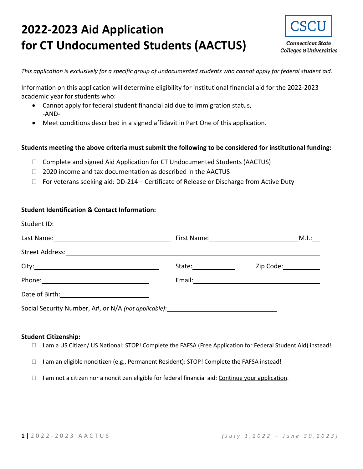# **2022-2023 Aid Application for CT Undocumented Students (AACTUS)**



**Connecticut State Colleges & Universities** 

*This application is exclusively for a specific group of undocumented students who cannot apply for federal student aid.*

Information on this application will determine eligibility for institutional financial aid for the 2022-2023 academic year for students who:

- Cannot apply for federal student financial aid due to immigration status, -AND-
- Meet conditions described in a signed affidavit in Part One of this application.

### **Students meeting the above criteria must submit the following to be considered for institutional funding:**

- $\Box$  Complete and signed Aid Application for CT Undocumented Students (AACTUS)
- $\Box$  2020 income and tax documentation as described in the AACTUS
- $\Box$  For veterans seeking aid: DD-214 Certificate of Release or Discharge from Active Duty

### **Student Identification & Contact Information:**

|                                                                                                                 | Zip Code: 2000 |
|-----------------------------------------------------------------------------------------------------------------|----------------|
|                                                                                                                 |                |
| Date of Birth: 2008 and 2010 and 2010 and 2010 and 2010 and 2010 and 2010 and 2011 and 2011 and 201             |                |
| Social Security Number, A#, or N/A (not applicable): Manufacture and Manufacture and Manufacture and Manufactur |                |

### **Student Citizenship:**

- □ I am a US Citizen/ US National: STOP! Complete the FAFSA (Free Application for Federal Student Aid) instead!
- $\Box$  I am an eligible noncitizen (e.g., Permanent Resident): STOP! Complete the FAFSA instead!
- $\Box$  I am not a citizen nor a noncitizen eligible for federal financial aid: Continue your application.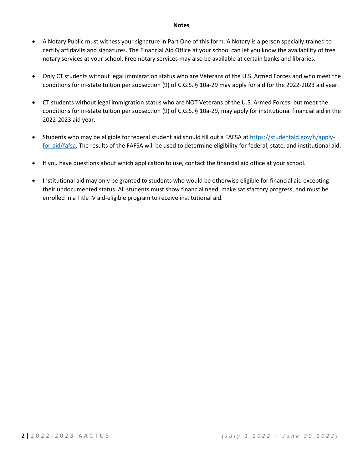#### **Notes**

- A Notary Public must witness your signature in Part One of this form. A Notary is a person specially trained to certify affidavits and signatures. The Financial Aid Office at your school can let you know the availability of free notary services at your school. Free notary services may also be available at certain banks and libraries.
- Only CT students without legal immigration status who are Veterans of the U.S. Armed Forces and who meet the conditions for in-state tuition per subsection (9) of C.G.S. § 10a-29 may apply for aid for the 2022-2023 aid year.
- CT students without legal immigration status who are NOT Veterans of the U.S. Armed Forces, but meet the conditions for in-state tuition per subsection (9) of C.G.S. § 10a-29, may apply for institutional financial aid in the 2022-2023 aid year.
- Students who may be eligible for federal student aid should fill out a FAFSA at [https://studentaid.gov/h/apply](https://studentaid.gov/h/apply-for-aid/fafsa)[for-aid/fafsa.](https://studentaid.gov/h/apply-for-aid/fafsa) The results of the FAFSA will be used to determine eligibility for federal, state, and institutional aid.
- If you have questions about which application to use, contact the financial aid office at your school.
- Institutional aid may only be granted to students who would be otherwise eligible for financial aid excepting their undocumented status. All students must show financial need, make satisfactory progress, and must be enrolled in a Title IV aid-eligible program to receive institutional aid.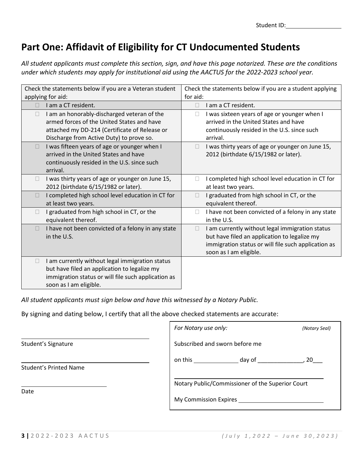Student ID:

# **Part One: Affidavit of Eligibility for CT Undocumented Students**

*All student applicants must complete this section, sign, and have this page notarized. These are the conditions under which students may apply for institutional aid using the AACTUS for the 2022-2023 school year.*

| Check the statements below if you are a Veteran student<br>applying for aid:                                                                                                                | Check the statements below if you are a student applying<br>for aid:                                                                                                                             |
|---------------------------------------------------------------------------------------------------------------------------------------------------------------------------------------------|--------------------------------------------------------------------------------------------------------------------------------------------------------------------------------------------------|
| I am a CT resident.                                                                                                                                                                         | I am a CT resident.<br>П                                                                                                                                                                         |
| I am an honorably-discharged veteran of the<br>□<br>armed forces of the United States and have<br>attached my DD-214 (Certificate of Release or<br>Discharge from Active Duty) to prove so. | I was sixteen years of age or younger when I<br>$\Box$<br>arrived in the United States and have<br>continuously resided in the U.S. since such<br>arrival.                                       |
| I was fifteen years of age or younger when I<br>П<br>arrived in the United States and have<br>continuously resided in the U.S. since such<br>arrival.                                       | I was thirty years of age or younger on June 15,<br>2012 (birthdate 6/15/1982 or later).                                                                                                         |
| I was thirty years of age or younger on June 15,<br>П<br>2012 (birthdate 6/15/1982 or later).                                                                                               | I completed high school level education in CT for<br>at least two years.                                                                                                                         |
| I completed high school level education in CT for<br>П<br>at least two years.                                                                                                               | I graduated from high school in CT, or the<br>equivalent thereof.                                                                                                                                |
| I graduated from high school in CT, or the<br>П<br>equivalent thereof.                                                                                                                      | I have not been convicted of a felony in any state<br>in the U.S.                                                                                                                                |
| I have not been convicted of a felony in any state<br>П<br>in the U.S.                                                                                                                      | I am currently without legal immigration status<br>$\mathbf{L}$<br>but have filed an application to legalize my<br>immigration status or will file such application as<br>soon as I am eligible. |
| I am currently without legal immigration status<br>□<br>but have filed an application to legalize my<br>immigration status or will file such application as<br>soon as I am eligible.       |                                                                                                                                                                                                  |

*All student applicants must sign below and have this witnessed by a Notary Public.*

By signing and dating below, I certify that all the above checked statements are accurate:

|                               | For Notary use only:                                                      | (Notary Seal) |
|-------------------------------|---------------------------------------------------------------------------|---------------|
| Student's Signature           | Subscribed and sworn before me                                            |               |
| <b>Student's Printed Name</b> | on this<br>day of                                                         | , 20          |
| Date                          | Notary Public/Commissioner of the Superior Court<br>My Commission Expires |               |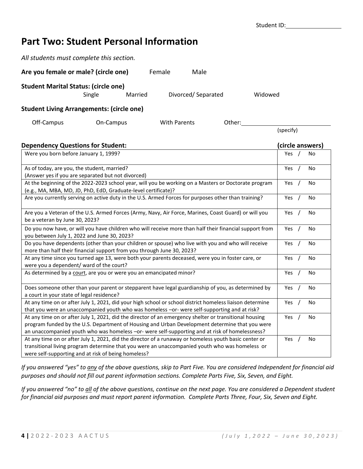# **Part Two: Student Personal Information**

| All students must complete this section.                                                                                                                                                                                                                                                                   |           |         |        |                     |                    |          |         |           |            |                  |
|------------------------------------------------------------------------------------------------------------------------------------------------------------------------------------------------------------------------------------------------------------------------------------------------------------|-----------|---------|--------|---------------------|--------------------|----------|---------|-----------|------------|------------------|
| Are you female or male? (circle one)                                                                                                                                                                                                                                                                       |           |         | Female |                     | Male               |          |         |           |            |                  |
| <b>Student Marital Status: (circle one)</b>                                                                                                                                                                                                                                                                | Single    | Married |        |                     | Divorced/Separated |          | Widowed |           |            |                  |
| <b>Student Living Arrangements: (circle one)</b>                                                                                                                                                                                                                                                           |           |         |        |                     |                    |          |         |           |            |                  |
| Off-Campus                                                                                                                                                                                                                                                                                                 | On-Campus |         |        | <b>With Parents</b> |                    | Other:   |         | (specify) |            |                  |
| <b>Dependency Questions for Student:</b>                                                                                                                                                                                                                                                                   |           |         |        |                     |                    |          |         |           |            | (circle answers) |
| Were you born before January 1, 1999?                                                                                                                                                                                                                                                                      |           |         |        |                     |                    |          |         | Yes       |            | No               |
| As of today, are you, the student, married?<br>(Answer yes if you are separated but not divorced)                                                                                                                                                                                                          |           |         |        |                     |                    |          |         | Yes       | $\prime$   | No               |
| At the beginning of the 2022-2023 school year, will you be working on a Masters or Doctorate program<br>(e.g., MA, MBA, MD, JD, PhD, EdD, Graduate-level certificate)?                                                                                                                                     |           |         |        |                     |                    |          |         | Yes       |            | No               |
| Are you currently serving on active duty in the U.S. Armed Forces for purposes other than training?                                                                                                                                                                                                        |           |         |        |                     |                    |          |         | Yes       |            | No               |
| Are you a Veteran of the U.S. Armed Forces (Army, Navy, Air Force, Marines, Coast Guard) or will you<br>be a veteran by June 30, 2023?                                                                                                                                                                     |           |         |        |                     | Yes                | $\prime$ | No      |           |            |                  |
| Do you now have, or will you have children who will receive more than half their financial support from<br>you between July 1, 2022 and June 30, 2023?                                                                                                                                                     |           |         |        |                     |                    |          |         | Yes       | $\sqrt{ }$ | No               |
| Do you have dependents (other than your children or spouse) who live with you and who will receive<br>more than half their financial support from you through June 30, 2023?                                                                                                                               |           |         |        |                     |                    |          |         | Yes $/$   |            | No               |
| At any time since you turned age 13, were both your parents deceased, were you in foster care, or<br>were you a dependent/ ward of the court?                                                                                                                                                              |           |         |        |                     |                    |          |         | Yes       | $\prime$   | No               |
| As determined by a court, are you or were you an emancipated minor?                                                                                                                                                                                                                                        |           |         |        |                     |                    |          |         | Yes       | $\sqrt{ }$ | <b>No</b>        |
| Does someone other than your parent or stepparent have legal guardianship of you, as determined by<br>a court in your state of legal residence?                                                                                                                                                            |           |         |        |                     |                    |          |         | Yes       | $\prime$   | No               |
| At any time on or after July 1, 2021, did your high school or school district homeless liaison determine<br>that you were an unaccompanied youth who was homeless -or- were self-supporting and at risk?                                                                                                   |           |         |        |                     |                    |          |         | Yes       |            | No               |
| At any time on or after July 1, 2021, did the director of an emergency shelter or transitional housing<br>program funded by the U.S. Department of Housing and Urban Development determine that you were<br>an unaccompanied youth who was homeless -or- were self-supporting and at risk of homelessness? |           |         |        |                     |                    |          |         | Yes       |            | No               |
| At any time on or after July 1, 2021, did the director of a runaway or homeless youth basic center or<br>transitional living program determine that you were an unaccompanied youth who was homeless or<br>were self-supporting and at risk of being homeless?                                             |           |         |        |                     |                    |          |         | Yes       |            | No               |

*If you answered "yes" to any of the above questions, skip to Part Five. You are considered Independent for financial aid purposes and should not fill out parent information sections. Complete Parts Five, Six, Seven, and Eight.*

*If you answered "no" to all of the above questions, continue on the next page. You are considered a Dependent student for financial aid purposes and must report parent information. Complete Parts Three, Four, Six, Seven and Eight.*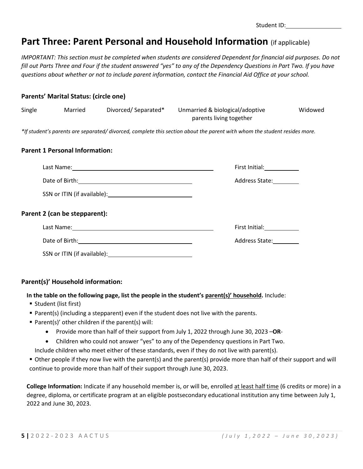| Student ID: |  |
|-------------|--|
|-------------|--|

# **Part Three: Parent Personal and Household Information** (if applicable)

*IMPORTANT: This section must be completed when students are considered Dependent for financial aid purposes. Do not fill out Parts Three and Four if the student answered "yes" to any of the Dependency Questions in Part Two. If you have questions about whether or not to include parent information, contact the Financial Aid Office at your school.*

### **Parents' Marital Status: (circle one)**

| Single |                                       |                                                                                                                                                                                                                                | Married Divorced/Separated* Unmarried & biological/adoptive<br>parents living together                                   | Widowed |
|--------|---------------------------------------|--------------------------------------------------------------------------------------------------------------------------------------------------------------------------------------------------------------------------------|--------------------------------------------------------------------------------------------------------------------------|---------|
|        |                                       |                                                                                                                                                                                                                                | *If student's parents are separated/divorced, complete this section about the parent with whom the student resides more. |         |
|        | <b>Parent 1 Personal Information:</b> |                                                                                                                                                                                                                                |                                                                                                                          |         |
|        |                                       | Last Name: 1988 and 2008 and 2008 and 2008 and 2008 and 2008 and 2008 and 2008 and 2008 and 2008 and 2008 and 2008 and 2008 and 2008 and 2008 and 2008 and 2008 and 2008 and 2008 and 2008 and 2008 and 2008 and 2008 and 2008 | First Initial: 1997                                                                                                      |         |
|        |                                       |                                                                                                                                                                                                                                | Address State: 1986                                                                                                      |         |
|        |                                       |                                                                                                                                                                                                                                |                                                                                                                          |         |
|        | Parent 2 (can be stepparent):         |                                                                                                                                                                                                                                |                                                                                                                          |         |
|        |                                       |                                                                                                                                                                                                                                | First Initial: 1997                                                                                                      |         |
|        |                                       |                                                                                                                                                                                                                                | Address State:                                                                                                           |         |
|        |                                       |                                                                                                                                                                                                                                |                                                                                                                          |         |

### **Parent(s)' Household information:**

### **In the table on the following page, list the people in the student's parent(s)' household.** Include:

- Student (list first)
- Parent(s) (including a stepparent) even if the student does not live with the parents.
- Parent(s)' other children if the parent(s) will:
	- Provide more than half of their support from July 1, 2022 through June 30, 2023 –**OR**-
	- Children who could not answer "yes" to any of the Dependency questions in Part Two.
	- Include children who meet either of these standards, even if they do not live with parent(s).
- Other people if they now live with the parent(s) and the parent(s) provide more than half of their support and will continue to provide more than half of their support through June 30, 2023.

**College Information:** Indicate if any household member is, or will be, enrolled at least half time (6 credits or more) in a degree, diploma, or certificate program at an eligible postsecondary educational institution any time between July 1, 2022 and June 30, 2023.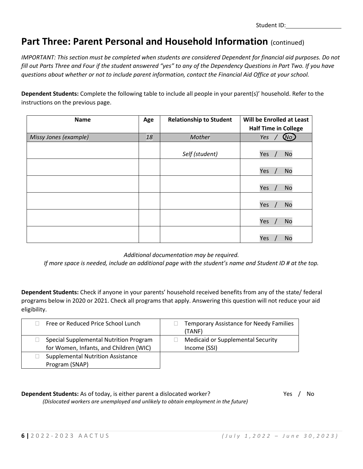Student ID:

# **Part Three: Parent Personal and Household Information (continued)**

*IMPORTANT: This section must be completed when students are considered Dependent for financial aid purposes. Do not fill out Parts Three and Four if the student answered "yes" to any of the Dependency Questions in Part Two. If you have questions about whether or not to include parent information, contact the Financial Aid Office at your school.*

**Dependent Students:** Complete the following table to include all people in your parent(s)' household. Refer to the instructions on the previous page.

| <b>Name</b>           | Age | <b>Relationship to Student</b> | Will be Enrolled at Least   |
|-----------------------|-----|--------------------------------|-----------------------------|
|                       |     |                                | <b>Half Time in College</b> |
| Missy Jones (example) | 18  | Mother                         | $\omega$<br>Yes             |
|                       |     | Self (student)                 | <b>No</b><br>Yes            |
|                       |     |                                | Yes<br><b>No</b>            |
|                       |     |                                | Yes<br><b>No</b>            |
|                       |     |                                | Yes<br><b>No</b>            |
|                       |     |                                | Yes<br><b>No</b>            |
|                       |     |                                | <b>No</b><br>Yes            |

*Additional documentation may be required.*

*If more space is needed, include an additional page with the student's name and Student ID # at the top.*

**Dependent Students:** Check if anyone in your parents' household received benefits from any of the state/ federal programs below in 2020 or 2021. Check all programs that apply. Answering this question will not reduce your aid eligibility.

| Free or Reduced Price School Lunch                                               | <b>Temporary Assistance for Needy Families</b><br>(TANF) |
|----------------------------------------------------------------------------------|----------------------------------------------------------|
| Special Supplemental Nutrition Program<br>for Women, Infants, and Children (WIC) | <b>Medicaid or Supplemental Security</b><br>Income (SSI) |
| <b>Supplemental Nutrition Assistance</b><br>Program (SNAP)                       |                                                          |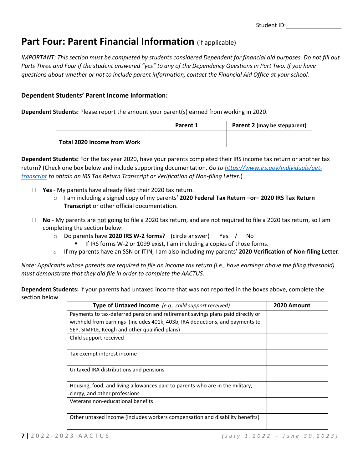# **Part Four: Parent Financial Information** (if applicable)

*IMPORTANT: This section must be completed by students considered Dependent for financial aid purposes. Do not fill out Parts Three and Four if the student answered "yes" to any of the Dependency Questions in Part Two. If you have questions about whether or not to include parent information, contact the Financial Aid Office at your school.*

### **Dependent Students' Parent Income Information:**

**Dependent Students:** Please report the amount your parent(s) earned from working in 2020.

|                                    | Parent 1 | Parent 2 (may be stepparent) |
|------------------------------------|----------|------------------------------|
|                                    |          |                              |
| <b>Total 2020 Income from Work</b> |          |                              |

**Dependent Students:** For the tax year 2020, have your parents completed their IRS income tax return or another tax return? (Check one box below and include supporting documentation. *Go to [https://www.irs.gov/individuals/get](https://www.irs.gov/individuals/get-transcript)[transcript](https://www.irs.gov/individuals/get-transcript) to obtain an IRS Tax Return Transcript or Verification of Non-filing Letter.*)

- **Yes** My parents have already filed their 2020 tax return.
	- o I am including a signed copy of my parents' **2020 Federal Tax Return –or– 2020 IRS Tax Return Transcript** or other official documentation.
- **No** My parents are not going to file a 2020 tax return, and are not required to file a 2020 tax return, so I am completing the section below:
	- o Do parents have **2020 IRS W-2 forms**? (circle answer) Yes / No
		- If IRS forms W-2 or 1099 exist, I am including a copies of those forms.
	- o If my parents have an SSN or ITIN, I am also including my parents' **2020 Verification of Non-filing Letter**.

*Note: Applicants whose parents are required to file an income tax return (i.e., have earnings above the filing threshold) must demonstrate that they did file in order to complete the AACTUS.*

**Dependent Students:** If your parents had untaxed income that was not reported in the boxes above, complete the section below.

| Type of Untaxed Income (e.g., child support received)                          | 2020 Amount |
|--------------------------------------------------------------------------------|-------------|
| Payments to tax-deferred pension and retirement savings plans paid directly or |             |
| withheld from earnings (includes 401k, 403b, IRA deductions, and payments to   |             |
| SEP, SIMPLE, Keogh and other qualified plans)                                  |             |
| Child support received                                                         |             |
|                                                                                |             |
| Tax exempt interest income                                                     |             |
|                                                                                |             |
| Untaxed IRA distributions and pensions                                         |             |
|                                                                                |             |
| Housing, food, and living allowances paid to parents who are in the military,  |             |
| clergy, and other professions                                                  |             |
| Veterans non-educational benefits                                              |             |
|                                                                                |             |
| Other untaxed income (includes workers compensation and disability benefits)   |             |
|                                                                                |             |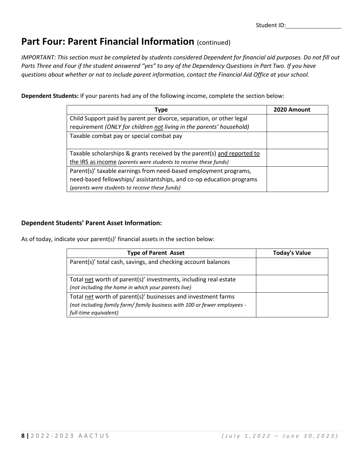# Part Four: Parent Financial Information (continued)

*IMPORTANT: This section must be completed by students considered Dependent for financial aid purposes. Do not fill out Parts Three and Four if the student answered "yes" to any of the Dependency Questions in Part Two. If you have questions about whether or not to include parent information, contact the Financial Aid Office at your school.*

**Dependent Students:** If your parents had any of the following income, complete the section below:

| Type                                                                    | 2020 Amount |
|-------------------------------------------------------------------------|-------------|
| Child Support paid by parent per divorce, separation, or other legal    |             |
| requirement (ONLY for children not living in the parents' household)    |             |
| Taxable combat pay or special combat pay                                |             |
|                                                                         |             |
| Taxable scholarships & grants received by the parent(s) and reported to |             |
| the IRS as income (parents were students to receive these funds)        |             |
| Parent(s)' taxable earnings from need-based employment programs,        |             |
| need-based fellowships/assistantships, and co-op education programs     |             |
| (parents were students to receive these funds)                          |             |

### **Dependent Students' Parent Asset Information:**

As of today, indicate your parent(s)' financial assets in the section below:

| <b>Type of Parent Asset</b>                                                                                                                                         | <b>Today's Value</b> |
|---------------------------------------------------------------------------------------------------------------------------------------------------------------------|----------------------|
| Parent(s)' total cash, savings, and checking account balances                                                                                                       |                      |
| Total net worth of parent(s)' investments, including real estate<br>(not including the home in which your parents live)                                             |                      |
| Total net worth of parent(s)' businesses and investment farms<br>(not including family farm/ family business with 100 or fewer employees -<br>full-time equivalent) |                      |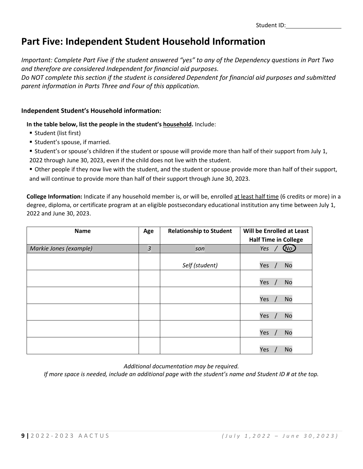# **Part Five: Independent Student Household Information**

*Important: Complete Part Five if the student answered "yes" to any of the Dependency questions in Part Two and therefore are considered Independent for financial aid purposes.*

*Do NOT complete this section if the student is considered Dependent for financial aid purposes and submitted parent information in Parts Three and Four of this application.*

### **Independent Student's Household information:**

**In the table below, list the people in the student's household.** Include:

- Student (list first)
- **Student's spouse, if married.**
- Student's or spouse's children if the student or spouse will provide more than half of their support from July 1,

2022 through June 30, 2023, even if the child does not live with the student.

 Other people if they now live with the student, and the student or spouse provide more than half of their support, and will continue to provide more than half of their support through June 30, 2023.

**College Information:** Indicate if any household member is, or will be, enrolled at least half time (6 credits or more) in a degree, diploma, or certificate program at an eligible postsecondary educational institution any time between July 1, 2022 and June 30, 2023.

| <b>Name</b>            | Age | <b>Relationship to Student</b> | Will be Enrolled at Least<br><b>Half Time in College</b> |
|------------------------|-----|--------------------------------|----------------------------------------------------------|
| Markie Jones (example) | 3   | son                            | Yes<br>$(\mathsf{No})$                                   |
|                        |     | Self (student)                 | Yes<br><b>No</b>                                         |
|                        |     |                                | Yes<br><b>No</b>                                         |
|                        |     |                                | Yes<br><b>No</b>                                         |
|                        |     |                                | Yes<br><b>No</b>                                         |
|                        |     |                                | Yes<br><b>No</b>                                         |
|                        |     |                                | <b>No</b><br>Yes                                         |

*Additional documentation may be required.*

*If more space is needed, include an additional page with the student's name and Student ID # at the top.*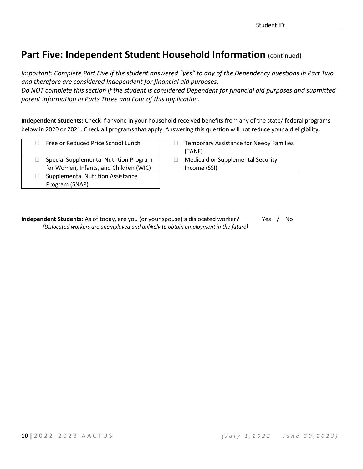# Part Five: Independent Student Household Information (continued)

*Important: Complete Part Five if the student answered "yes" to any of the Dependency questions in Part Two and therefore are considered Independent for financial aid purposes.*

*Do NOT complete this section if the student is considered Dependent for financial aid purposes and submitted parent information in Parts Three and Four of this application.*

**Independent Students:** Check if anyone in your household received benefits from any of the state/ federal programs below in 2020 or 2021. Check all programs that apply. Answering this question will not reduce your aid eligibility.

| Free or Reduced Price School Lunch                                               | <b>Temporary Assistance for Needy Families</b><br>(TANF) |
|----------------------------------------------------------------------------------|----------------------------------------------------------|
| Special Supplemental Nutrition Program<br>for Women, Infants, and Children (WIC) | <b>Medicaid or Supplemental Security</b><br>Income (SSI) |
| <b>Supplemental Nutrition Assistance</b><br>Program (SNAP)                       |                                                          |

**Independent Students:** As of today, are you (or your spouse) a dislocated worker? Yes / No *(Dislocated workers are unemployed and unlikely to obtain employment in the future)*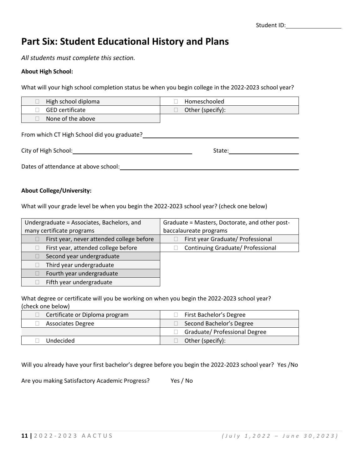### **Part Six: Student Educational History and Plans**

*All students must complete this section.*

### **About High School:**

What will your high school completion status be when you begin college in the 2022-2023 school year?

| High school diploma                         | Homeschooled     |  |  |
|---------------------------------------------|------------------|--|--|
| <b>GED</b> certificate                      | Other (specify): |  |  |
| None of the above                           |                  |  |  |
| From which CT High School did you graduate? |                  |  |  |

| City of High School:                 | State: |
|--------------------------------------|--------|
| Dates of attendance at above school: |        |

### **About College/University:**

What will your grade level be when you begin the 2022-2023 school year? (check one below)

| Undergraduate = Associates, Bachelors, and | Graduate = Masters, Doctorate, and other post- |
|--------------------------------------------|------------------------------------------------|
| many certificate programs                  | baccalaureate programs                         |
| First year, never attended college before  | First year Graduate/ Professional              |
| First year, attended college before        | Continuing Graduate/ Professional              |
| Second year undergraduate                  |                                                |
| Third year undergraduate                   |                                                |
| Fourth year undergraduate                  |                                                |
| Fifth year undergraduate                   |                                                |

What degree or certificate will you be working on when you begin the 2022-2023 school year? (check one below)

| Certificate or Diploma program | First Bachelor's Degree       |
|--------------------------------|-------------------------------|
| <b>Associates Degree</b>       | Second Bachelor's Degree      |
|                                | Graduate/ Professional Degree |
| Undecided                      | Other (specify):              |

Will you already have your first bachelor's degree before you begin the 2022-2023 school year? Yes /No

Are you making Satisfactory Academic Progress? Yes / No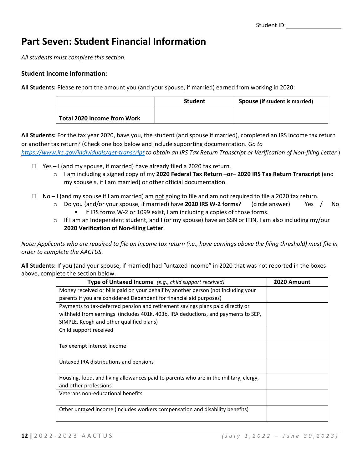# **Part Seven: Student Financial Information**

*All students must complete this section.*

### **Student Income Information:**

**All Students:** Please report the amount you (and your spouse, if married) earned from working in 2020:

|                             | <b>Student</b> | Spouse (if student is married) |
|-----------------------------|----------------|--------------------------------|
|                             |                |                                |
| Total 2020 Income from Work |                |                                |

**All Students:** For the tax year 2020, have you, the student (and spouse if married), completed an IRS income tax return or another tax return? (Check one box below and include supporting documentation. *Go to* 

*<https://www.irs.gov/individuals/get-transcript> to obtain an IRS Tax Return Transcript or Verification of Non-filing Letter.*)

- $\Box$  Yes I (and my spouse, if married) have already filed a 2020 tax return.
	- o I am including a signed copy of my **2020 Federal Tax Return –or– 2020 IRS Tax Return Transcript** (and my spouse's, if I am married) or other official documentation.
- $\Box$  No I (and my spouse if I am married) am not going to file and am not required to file a 2020 tax return.
	- o Do you (and/or your spouse, if married) have **2020 IRS W-2 forms**? (circle answer) Yes / No If IRS forms W-2 or 1099 exist, I am including a copies of those forms.
	- $\circ$  If I am an Independent student, and I (or my spouse) have an SSN or ITIN, I am also including my/our **2020 Verification of Non-filing Letter**.

*Note: Applicants who are required to file an income tax return (i.e., have earnings above the filing threshold) must file in order to complete the AACTUS.*

**All Students:** If you (and your spouse, if married) had "untaxed income" in 2020 that was not reported in the boxes above, complete the section below.

| Type of Untaxed Income (e.g., child support received)                                                          | 2020 Amount |
|----------------------------------------------------------------------------------------------------------------|-------------|
| Money received or bills paid on your behalf by another person (not including your                              |             |
| parents if you are considered Dependent for financial aid purposes)                                            |             |
| Payments to tax-deferred pension and retirement savings plans paid directly or                                 |             |
| withheld from earnings (includes 401k, 403b, IRA deductions, and payments to SEP,                              |             |
| SIMPLE, Keogh and other qualified plans)                                                                       |             |
| Child support received                                                                                         |             |
| Tax exempt interest income                                                                                     |             |
| Untaxed IRA distributions and pensions                                                                         |             |
| Housing, food, and living allowances paid to parents who are in the military, clergy,<br>and other professions |             |
| Veterans non-educational benefits                                                                              |             |
| Other untaxed income (includes workers compensation and disability benefits)                                   |             |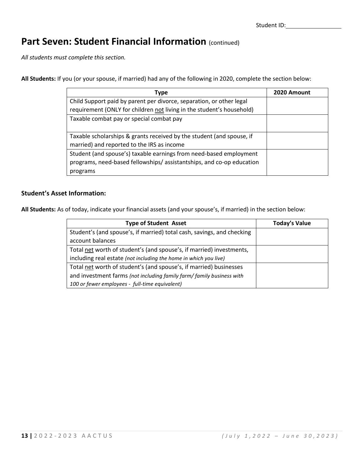# Part Seven: Student Financial Information (continued)

*All students must complete this section.*

**All Students:** If you (or your spouse, if married) had any of the following in 2020, complete the section below:

| Type                                                                  | 2020 Amount |
|-----------------------------------------------------------------------|-------------|
| Child Support paid by parent per divorce, separation, or other legal  |             |
| requirement (ONLY for children not living in the student's household) |             |
| Taxable combat pay or special combat pay                              |             |
|                                                                       |             |
| Taxable scholarships & grants received by the student (and spouse, if |             |
| married) and reported to the IRS as income                            |             |
| Student (and spouse's) taxable earnings from need-based employment    |             |
| programs, need-based fellowships/assistantships, and co-op education  |             |
| programs                                                              |             |

### **Student's Asset Information:**

**All Students:** As of today, indicate your financial assets (and your spouse's, if married) in the section below:

| <b>Type of Student Asset</b>                                           | <b>Today's Value</b> |
|------------------------------------------------------------------------|----------------------|
| Student's (and spouse's, if married) total cash, savings, and checking |                      |
| account balances                                                       |                      |
| Total net worth of student's (and spouse's, if married) investments,   |                      |
| including real estate (not including the home in which you live)       |                      |
| Total net worth of student's (and spouse's, if married) businesses     |                      |
| and investment farms (not including family farm/ family business with  |                      |
| 100 or fewer employees - full-time equivalent)                         |                      |